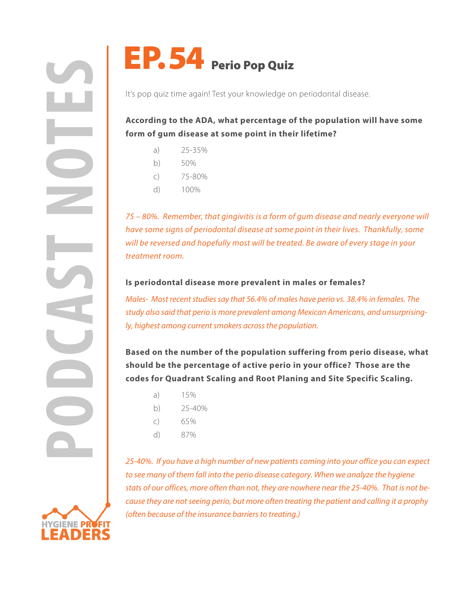**PODE ACCOMBINE SET AND PROPERTY CONSULTS AND PROPERTY OF A CONSULTS (TO A CONSULTS) SUGGERED.<br>
TO A CONSULTS (B) SOME ADA, what percentage of form of gum disease at some point in their and property in the same of gradient** 

It's pop quiz time again! Test your knowledge on periodontal disease.

**According to the ADA, what percentage of the population will have some form of gum disease at some point in their lifetime?**

- a) 25-35%
- b) 50%
- c) 75-80%
- d) 100%

*75 – 80%. Remember, that gingivitis is a form of gum disease and nearly everyone will have some signs of periodontal disease at some point in their lives. Thankfully, some will be reversed and hopefully most will be treated. Be aware of every stage in your treatment room.*

### **Is periodontal disease more prevalent in males or females?**

*Males- Most recent studies say that 56.4% of males have perio vs. 38.4% in females. The study also said that perio is more prevalent among Mexican Americans, and unsurprisingly, highest among current smokers across the population.*

**Based on the number of the population suffering from perio disease, what should be the percentage of active perio in your office? Those are the codes for Quadrant Scaling and Root Planing and Site Specific Scaling.**

- a) 15%
- b) 25-40%
- c) 65%
- d) 87%

*25-40%. If you have a high number of new patients coming into your office you can expect to see many of them fall into the perio disease category. When we analyze the hygiene stats of our offices, more often than not, they are nowhere near the 25-40%. That is not because they are not seeing perio, but more often treating the patient and calling it a prophy (often because of the insurance barriers to treating.)*

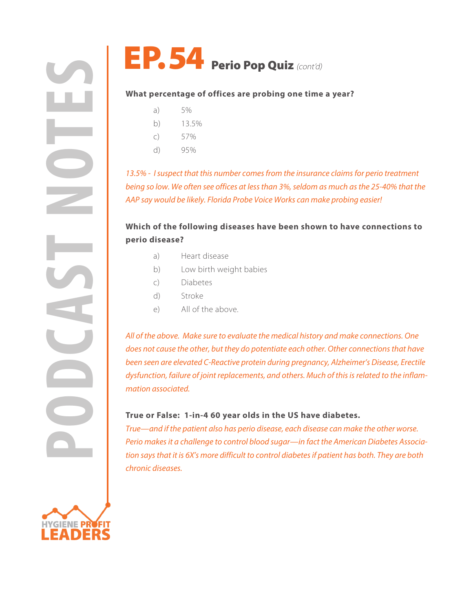



## **What percentage of offices are probing one time a year?**

| a) | 5% |
|----|----|
|    |    |

- b) 13.5%
- c) 57%
- d) 95%

*13.5% - I suspect that this number comes from the insurance claims for perio treatment being so low. We often see offices at less than 3%, seldom as much as the 25-40% that the AAP say would be likely. Florida Probe Voice Works can make probing easier!*

# **Which of the following diseases have been shown to have connections to perio disease?**

- a) Heart disease
- b) Low birth weight babies
- c) Diabetes
- d) Stroke
- e) All of the above.

*All of the above. Make sure to evaluate the medical history and make connections. One does not cause the other, but they do potentiate each other. Other connections that have been seen are elevated C-Reactive protein during pregnancy, Alzheimer's Disease, Erectile dysfunction, failure of joint replacements, and others. Much of this is related to the inflammation associated.*

### **True or False: 1-in-4 60 year olds in the US have diabetes.**

*True—and if the patient also has perio disease, each disease can make the other worse. Perio makes it a challenge to control blood sugar—in fact the American Diabetes Association says that it is 6X's more difficult to control diabetes if patient has both. They are both chronic diseases.*